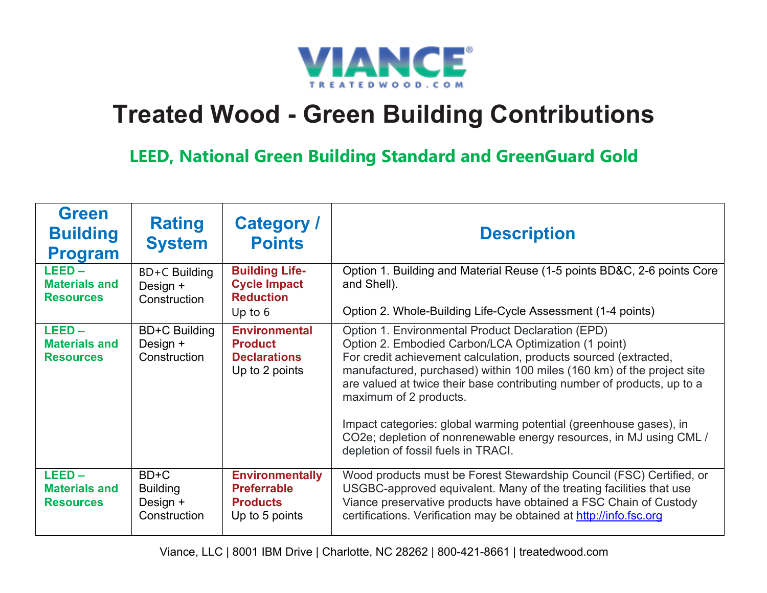

## **Treated Wood - Green Building Contributions**

**LEED, National Green Building Standard and GreenGuard Gold**

| <b>Green</b><br><b>Building</b><br><b>Program</b>    | <b>Rating</b><br><b>System</b>                        | <b>Category /</b><br><b>Points</b>                                                | <b>Description</b>                                                                                                                                                                                                                                                                                                                                                                                                                                                                                                                               |
|------------------------------------------------------|-------------------------------------------------------|-----------------------------------------------------------------------------------|--------------------------------------------------------------------------------------------------------------------------------------------------------------------------------------------------------------------------------------------------------------------------------------------------------------------------------------------------------------------------------------------------------------------------------------------------------------------------------------------------------------------------------------------------|
| $LEED -$<br><b>Materials and</b><br><b>Resources</b> | BD+C Building<br>Design +<br>Construction             | <b>Building Life-</b><br><b>Cycle Impact</b><br><b>Reduction</b><br>Up to $6$     | Option 1. Building and Material Reuse (1-5 points BD&C, 2-6 points Core<br>and Shell).<br>Option 2. Whole-Building Life-Cycle Assessment (1-4 points)                                                                                                                                                                                                                                                                                                                                                                                            |
| $LEED -$<br><b>Materials and</b><br><b>Resources</b> | <b>BD+C Building</b><br>Design +<br>Construction      | <b>Environmental</b><br><b>Product</b><br><b>Declarations</b><br>Up to 2 points   | Option 1. Environmental Product Declaration (EPD)<br>Option 2. Embodied Carbon/LCA Optimization (1 point)<br>For credit achievement calculation, products sourced (extracted,<br>manufactured, purchased) within 100 miles (160 km) of the project site<br>are valued at twice their base contributing number of products, up to a<br>maximum of 2 products.<br>Impact categories: global warming potential (greenhouse gases), in<br>CO2e; depletion of nonrenewable energy resources, in MJ using CML /<br>depletion of fossil fuels in TRACI. |
| $LEED -$<br><b>Materials and</b><br><b>Resources</b> | $BD+C$<br><b>Building</b><br>Design +<br>Construction | <b>Environmentally</b><br><b>Preferrable</b><br><b>Products</b><br>Up to 5 points | Wood products must be Forest Stewardship Council (FSC) Certified, or<br>USGBC-approved equivalent. Many of the treating facilities that use<br>Viance preservative products have obtained a FSC Chain of Custody<br>certifications. Verification may be obtained at http://info.fsc.org                                                                                                                                                                                                                                                          |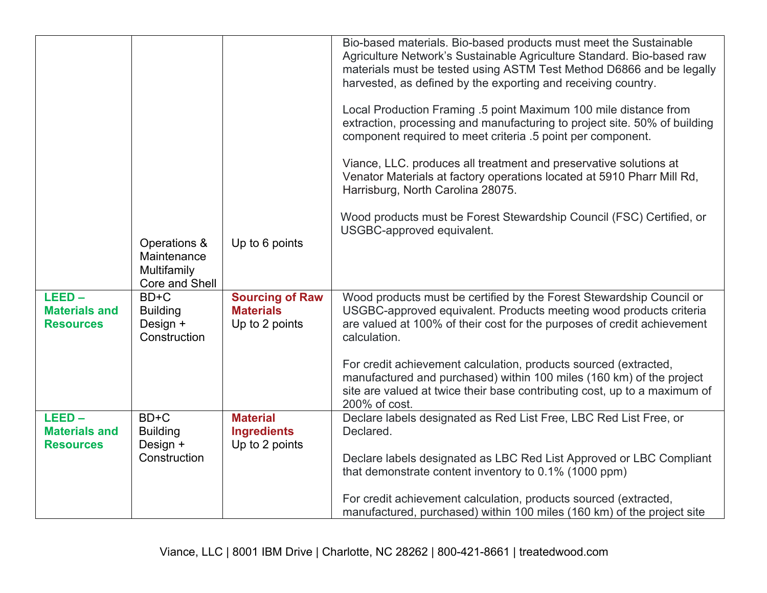|                                                      |                                             |                                                         | Bio-based materials. Bio-based products must meet the Sustainable<br>Agriculture Network's Sustainable Agriculture Standard. Bio-based raw<br>materials must be tested using ASTM Test Method D6866 and be legally<br>harvested, as defined by the exporting and receiving country.<br>Local Production Framing .5 point Maximum 100 mile distance from<br>extraction, processing and manufacturing to project site. 50% of building<br>component required to meet criteria .5 point per component.<br>Viance, LLC. produces all treatment and preservative solutions at |
|------------------------------------------------------|---------------------------------------------|---------------------------------------------------------|--------------------------------------------------------------------------------------------------------------------------------------------------------------------------------------------------------------------------------------------------------------------------------------------------------------------------------------------------------------------------------------------------------------------------------------------------------------------------------------------------------------------------------------------------------------------------|
|                                                      |                                             |                                                         | Venator Materials at factory operations located at 5910 Pharr Mill Rd,<br>Harrisburg, North Carolina 28075.                                                                                                                                                                                                                                                                                                                                                                                                                                                              |
|                                                      |                                             |                                                         | Wood products must be Forest Stewardship Council (FSC) Certified, or<br>USGBC-approved equivalent.                                                                                                                                                                                                                                                                                                                                                                                                                                                                       |
|                                                      | Operations &<br>Maintenance<br>Multifamily  | Up to 6 points                                          |                                                                                                                                                                                                                                                                                                                                                                                                                                                                                                                                                                          |
| $LEED -$                                             | Core and Shell<br>$BD+C$                    | <b>Sourcing of Raw</b>                                  | Wood products must be certified by the Forest Stewardship Council or                                                                                                                                                                                                                                                                                                                                                                                                                                                                                                     |
| <b>Materials and</b><br><b>Resources</b>             | <b>Building</b><br>Design +<br>Construction | <b>Materials</b><br>Up to 2 points                      | USGBC-approved equivalent. Products meeting wood products criteria<br>are valued at 100% of their cost for the purposes of credit achievement<br>calculation.                                                                                                                                                                                                                                                                                                                                                                                                            |
|                                                      |                                             |                                                         | For credit achievement calculation, products sourced (extracted,<br>manufactured and purchased) within 100 miles (160 km) of the project<br>site are valued at twice their base contributing cost, up to a maximum of<br>200% of cost.                                                                                                                                                                                                                                                                                                                                   |
| $LEED -$<br><b>Materials and</b><br><b>Resources</b> | BD+C<br><b>Building</b><br>Design +         | <b>Material</b><br><b>Ingredients</b><br>Up to 2 points | Declare labels designated as Red List Free, LBC Red List Free, or<br>Declared.                                                                                                                                                                                                                                                                                                                                                                                                                                                                                           |
|                                                      | Construction                                |                                                         | Declare labels designated as LBC Red List Approved or LBC Compliant<br>that demonstrate content inventory to 0.1% (1000 ppm)                                                                                                                                                                                                                                                                                                                                                                                                                                             |
|                                                      |                                             |                                                         | For credit achievement calculation, products sourced (extracted,<br>manufactured, purchased) within 100 miles (160 km) of the project site                                                                                                                                                                                                                                                                                                                                                                                                                               |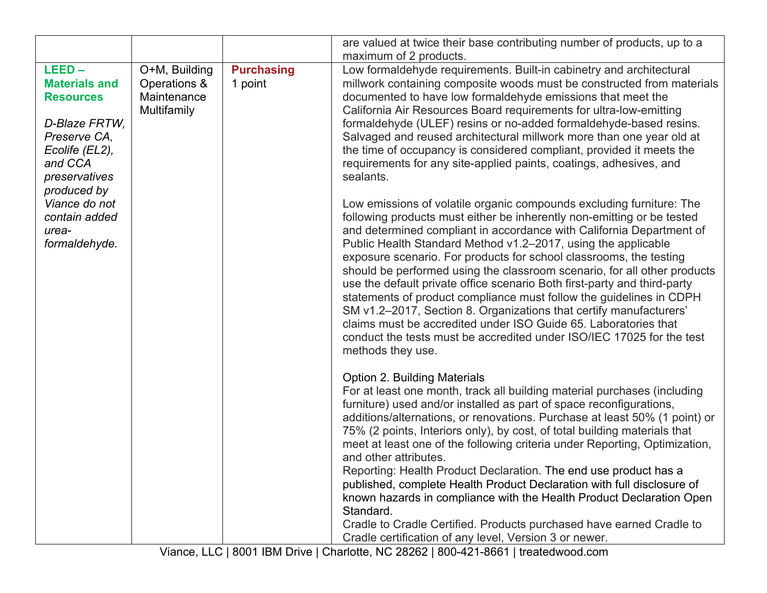|                                                                                                                                     |                                                             |                              | are valued at twice their base contributing number of products, up to a                                                                                                                                                                                                                                                                                                                                                                                                                                                                                                                                                                                                                                                                                                                                                             |
|-------------------------------------------------------------------------------------------------------------------------------------|-------------------------------------------------------------|------------------------------|-------------------------------------------------------------------------------------------------------------------------------------------------------------------------------------------------------------------------------------------------------------------------------------------------------------------------------------------------------------------------------------------------------------------------------------------------------------------------------------------------------------------------------------------------------------------------------------------------------------------------------------------------------------------------------------------------------------------------------------------------------------------------------------------------------------------------------------|
|                                                                                                                                     |                                                             |                              | maximum of 2 products.                                                                                                                                                                                                                                                                                                                                                                                                                                                                                                                                                                                                                                                                                                                                                                                                              |
| $LEED -$<br><b>Materials and</b><br><b>Resources</b><br>D-Blaze FRTW,<br>Preserve CA,<br>Ecolife (EL2),<br>and CCA<br>preservatives | O+M, Building<br>Operations &<br>Maintenance<br>Multifamily | <b>Purchasing</b><br>1 point | Low formaldehyde requirements. Built-in cabinetry and architectural<br>millwork containing composite woods must be constructed from materials<br>documented to have low formaldehyde emissions that meet the<br>California Air Resources Board requirements for ultra-low-emitting<br>formaldehyde (ULEF) resins or no-added formaldehyde-based resins.<br>Salvaged and reused architectural millwork more than one year old at<br>the time of occupancy is considered compliant, provided it meets the<br>requirements for any site-applied paints, coatings, adhesives, and<br>sealants.                                                                                                                                                                                                                                          |
| produced by<br>Viance do not<br>contain added<br>urea-<br>formaldehyde.                                                             |                                                             |                              | Low emissions of volatile organic compounds excluding furniture: The<br>following products must either be inherently non-emitting or be tested<br>and determined compliant in accordance with California Department of<br>Public Health Standard Method v1.2-2017, using the applicable<br>exposure scenario. For products for school classrooms, the testing<br>should be performed using the classroom scenario, for all other products<br>use the default private office scenario Both first-party and third-party<br>statements of product compliance must follow the guidelines in CDPH<br>SM v1.2-2017, Section 8. Organizations that certify manufacturers'<br>claims must be accredited under ISO Guide 65. Laboratories that<br>conduct the tests must be accredited under ISO/IEC 17025 for the test<br>methods they use. |
|                                                                                                                                     |                                                             |                              | <b>Option 2. Building Materials</b><br>For at least one month, track all building material purchases (including<br>furniture) used and/or installed as part of space reconfigurations,<br>additions/alternations, or renovations. Purchase at least 50% (1 point) or<br>75% (2 points, Interiors only), by cost, of total building materials that<br>meet at least one of the following criteria under Reporting, Optimization,<br>and other attributes.<br>Reporting: Health Product Declaration. The end use product has a<br>published, complete Health Product Declaration with full disclosure of<br>known hazards in compliance with the Health Product Declaration Open<br>Standard.<br>Cradle to Cradle Certified. Products purchased have earned Cradle to<br>Cradle certification of any level, Version 3 or newer.       |

Viance, LLC | 8001 IBM Drive | Charlotte, NC 28262 | 800-421-8661 | treatedwood.com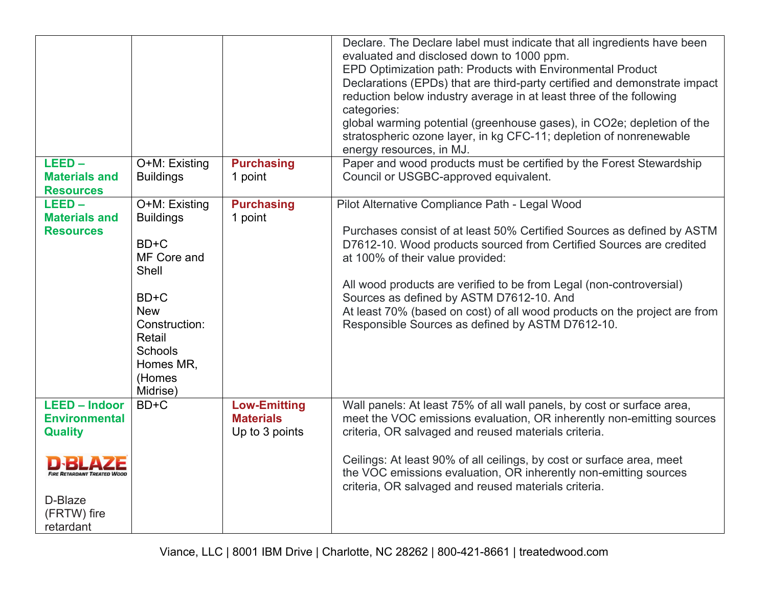|                                                                                                                                             |                                                                                                                                                                             |                                                           | Declare. The Declare label must indicate that all ingredients have been<br>evaluated and disclosed down to 1000 ppm.<br>EPD Optimization path: Products with Environmental Product<br>Declarations (EPDs) that are third-party certified and demonstrate impact<br>reduction below industry average in at least three of the following<br>categories:<br>global warming potential (greenhouse gases), in CO2e; depletion of the<br>stratospheric ozone layer, in kg CFC-11; depletion of nonrenewable<br>energy resources, in MJ. |
|---------------------------------------------------------------------------------------------------------------------------------------------|-----------------------------------------------------------------------------------------------------------------------------------------------------------------------------|-----------------------------------------------------------|-----------------------------------------------------------------------------------------------------------------------------------------------------------------------------------------------------------------------------------------------------------------------------------------------------------------------------------------------------------------------------------------------------------------------------------------------------------------------------------------------------------------------------------|
| $LEED -$<br><b>Materials and</b><br><b>Resources</b>                                                                                        | O+M: Existing<br><b>Buildings</b>                                                                                                                                           | <b>Purchasing</b><br>1 point                              | Paper and wood products must be certified by the Forest Stewardship<br>Council or USGBC-approved equivalent.                                                                                                                                                                                                                                                                                                                                                                                                                      |
| $LEED -$<br><b>Materials and</b><br><b>Resources</b>                                                                                        | O+M: Existing<br><b>Buildings</b><br>$BD+C$<br>MF Core and<br>Shell<br>$BD+C$<br><b>New</b><br>Construction:<br>Retail<br><b>Schools</b><br>Homes MR,<br>(Homes<br>Midrise) | <b>Purchasing</b><br>1 point                              | Pilot Alternative Compliance Path - Legal Wood<br>Purchases consist of at least 50% Certified Sources as defined by ASTM<br>D7612-10. Wood products sourced from Certified Sources are credited<br>at 100% of their value provided:<br>All wood products are verified to be from Legal (non-controversial)<br>Sources as defined by ASTM D7612-10. And<br>At least 70% (based on cost) of all wood products on the project are from<br>Responsible Sources as defined by ASTM D7612-10.                                           |
| <b>LEED - Indoor</b><br><b>Environmental</b><br><b>Quality</b><br><b>FIRE RETARDANT TREATED WOOL</b><br>D-Blaze<br>(FRTW) fire<br>retardant | BD+C                                                                                                                                                                        | <b>Low-Emitting</b><br><b>Materials</b><br>Up to 3 points | Wall panels: At least 75% of all wall panels, by cost or surface area,<br>meet the VOC emissions evaluation, OR inherently non-emitting sources<br>criteria, OR salvaged and reused materials criteria.<br>Ceilings: At least 90% of all ceilings, by cost or surface area, meet<br>the VOC emissions evaluation, OR inherently non-emitting sources<br>criteria, OR salvaged and reused materials criteria.                                                                                                                      |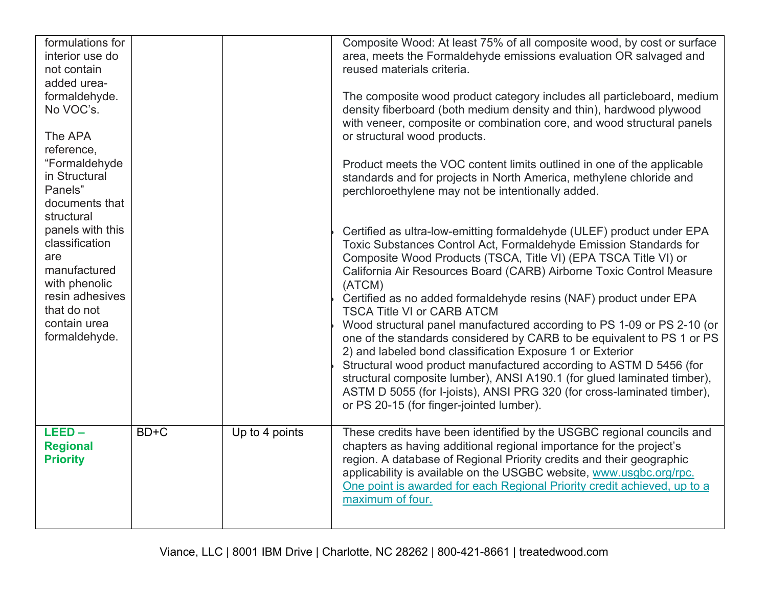| formulations for<br>interior use do<br>not contain<br>added urea-<br>formaldehyde.<br>No VOC's.<br>The APA<br>reference,<br>"Formaldehyde<br>in Structural<br>Panels"<br>documents that<br>structural<br>panels with this<br>classification<br>are<br>manufactured<br>with phenolic<br>resin adhesives<br>that do not<br>contain urea<br>formaldehyde. |      |                | Composite Wood: At least 75% of all composite wood, by cost or surface<br>area, meets the Formaldehyde emissions evaluation OR salvaged and<br>reused materials criteria.<br>The composite wood product category includes all particleboard, medium<br>density fiberboard (both medium density and thin), hardwood plywood<br>with veneer, composite or combination core, and wood structural panels<br>or structural wood products.<br>Product meets the VOC content limits outlined in one of the applicable<br>standards and for projects in North America, methylene chloride and<br>perchloroethylene may not be intentionally added.<br>Certified as ultra-low-emitting formaldehyde (ULEF) product under EPA<br>Toxic Substances Control Act, Formaldehyde Emission Standards for<br>Composite Wood Products (TSCA, Title VI) (EPA TSCA Title VI) or<br>California Air Resources Board (CARB) Airborne Toxic Control Measure<br>(ATCM)<br>Certified as no added formaldehyde resins (NAF) product under EPA<br><b>TSCA Title VI or CARB ATCM</b><br>Wood structural panel manufactured according to PS 1-09 or PS 2-10 (or<br>one of the standards considered by CARB to be equivalent to PS 1 or PS<br>2) and labeled bond classification Exposure 1 or Exterior<br>Structural wood product manufactured according to ASTM D 5456 (for<br>structural composite lumber), ANSI A190.1 (for glued laminated timber),<br>ASTM D 5055 (for I-joists), ANSI PRG 320 (for cross-laminated timber),<br>or PS 20-15 (for finger-jointed lumber). |
|--------------------------------------------------------------------------------------------------------------------------------------------------------------------------------------------------------------------------------------------------------------------------------------------------------------------------------------------------------|------|----------------|-------------------------------------------------------------------------------------------------------------------------------------------------------------------------------------------------------------------------------------------------------------------------------------------------------------------------------------------------------------------------------------------------------------------------------------------------------------------------------------------------------------------------------------------------------------------------------------------------------------------------------------------------------------------------------------------------------------------------------------------------------------------------------------------------------------------------------------------------------------------------------------------------------------------------------------------------------------------------------------------------------------------------------------------------------------------------------------------------------------------------------------------------------------------------------------------------------------------------------------------------------------------------------------------------------------------------------------------------------------------------------------------------------------------------------------------------------------------------------------------------------------------------------------------------|
| $LEED -$<br><b>Regional</b><br><b>Priority</b>                                                                                                                                                                                                                                                                                                         | BD+C | Up to 4 points | These credits have been identified by the USGBC regional councils and<br>chapters as having additional regional importance for the project's<br>region. A database of Regional Priority credits and their geographic<br>applicability is available on the USGBC website, www.usgbc.org/rpc.<br>One point is awarded for each Regional Priority credit achieved, up to a<br>maximum of four.                                                                                                                                                                                                                                                                                                                                                                                                                                                                                                                                                                                                                                                                                                                                                                                                                                                                                                                                                                                                                                                                                                                                                     |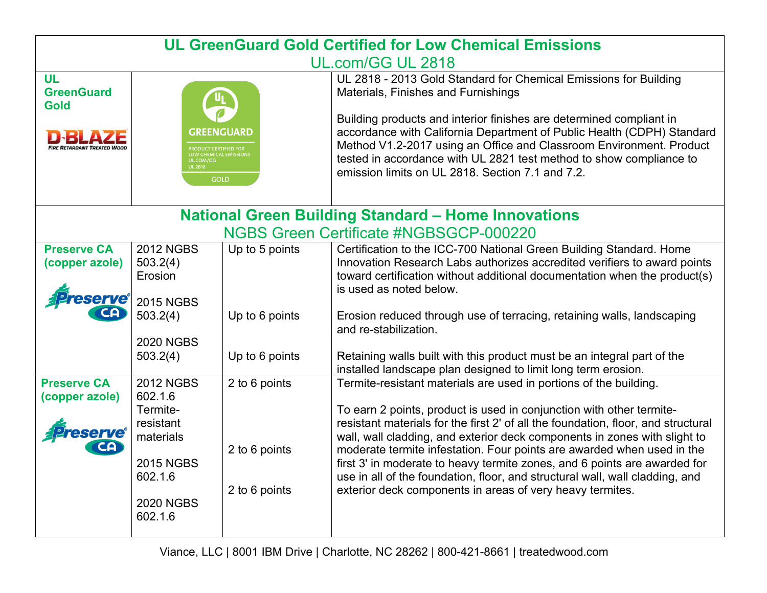| <b>UL GreenGuard Gold Certified for Low Chemical Emissions</b> |                                                                                                                                 |                                                 |                                                                                                                                                                                                                                                                                                                                                                                                                                                                                                                                                                                                                 |  |  |
|----------------------------------------------------------------|---------------------------------------------------------------------------------------------------------------------------------|-------------------------------------------------|-----------------------------------------------------------------------------------------------------------------------------------------------------------------------------------------------------------------------------------------------------------------------------------------------------------------------------------------------------------------------------------------------------------------------------------------------------------------------------------------------------------------------------------------------------------------------------------------------------------------|--|--|
|                                                                | UL.com/GG UL 2818                                                                                                               |                                                 |                                                                                                                                                                                                                                                                                                                                                                                                                                                                                                                                                                                                                 |  |  |
| <b>UL</b><br><b>GreenGuard</b><br><b>Gold</b>                  | <b>GREENGUARD</b><br>PRODUCT CERTIFIED FOR<br>LOW CHEMICAL EMISSIONS<br>UL.COM/GG<br><b>UL 2818</b><br>GOLD                     |                                                 | UL 2818 - 2013 Gold Standard for Chemical Emissions for Building<br>Materials, Finishes and Furnishings<br>Building products and interior finishes are determined compliant in<br>accordance with California Department of Public Health (CDPH) Standard<br>Method V1.2-2017 using an Office and Classroom Environment. Product<br>tested in accordance with UL 2821 test method to show compliance to<br>emission limits on UL 2818. Section 7.1 and 7.2.                                                                                                                                                      |  |  |
|                                                                |                                                                                                                                 |                                                 | <b>National Green Building Standard - Home Innovations</b>                                                                                                                                                                                                                                                                                                                                                                                                                                                                                                                                                      |  |  |
| <b>NGBS Green Certificate #NGBSGCP-000220</b>                  |                                                                                                                                 |                                                 |                                                                                                                                                                                                                                                                                                                                                                                                                                                                                                                                                                                                                 |  |  |
| <b>Preserve CA</b><br>(copper azole)                           | <b>2012 NGBS</b><br>503.2(4)<br>Erosion<br><b>2015 NGBS</b><br>503.2(4)<br><b>2020 NGBS</b>                                     | Up to 5 points<br>Up to 6 points                | Certification to the ICC-700 National Green Building Standard. Home<br>Innovation Research Labs authorizes accredited verifiers to award points<br>toward certification without additional documentation when the product(s)<br>is used as noted below.<br>Erosion reduced through use of terracing, retaining walls, landscaping<br>and re-stabilization.                                                                                                                                                                                                                                                      |  |  |
|                                                                | 503.2(4)                                                                                                                        | Up to 6 points                                  | Retaining walls built with this product must be an integral part of the<br>installed landscape plan designed to limit long term erosion.                                                                                                                                                                                                                                                                                                                                                                                                                                                                        |  |  |
| <b>Preserve CA</b><br>(copper azole)<br>ם:                     | <b>2012 NGBS</b><br>602.1.6<br>Termite-<br>resistant<br>materials<br><b>2015 NGBS</b><br>602.1.6<br><b>2020 NGBS</b><br>602.1.6 | 2 to 6 points<br>2 to 6 points<br>2 to 6 points | Termite-resistant materials are used in portions of the building.<br>To earn 2 points, product is used in conjunction with other termite-<br>resistant materials for the first 2' of all the foundation, floor, and structural<br>wall, wall cladding, and exterior deck components in zones with slight to<br>moderate termite infestation. Four points are awarded when used in the<br>first 3' in moderate to heavy termite zones, and 6 points are awarded for<br>use in all of the foundation, floor, and structural wall, wall cladding, and<br>exterior deck components in areas of very heavy termites. |  |  |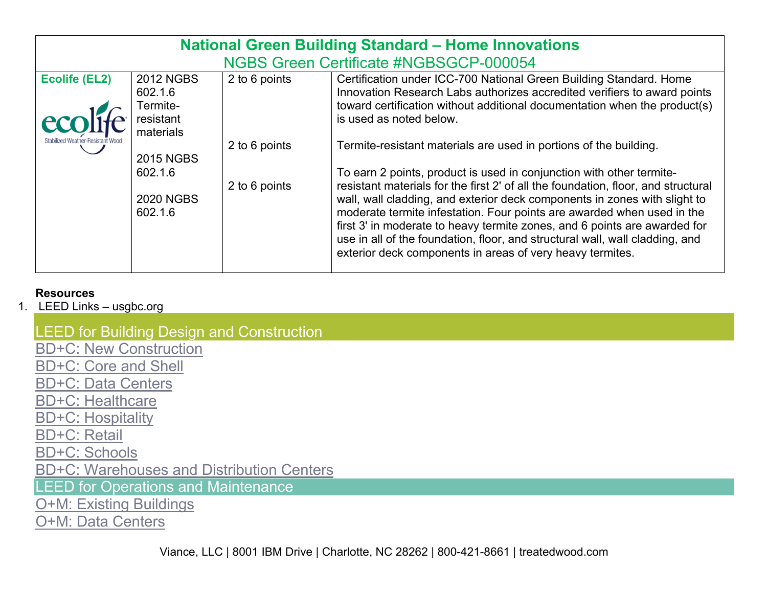| <b>National Green Building Standard - Home Innovations</b> |               |                                                                                                                                                                                                                                                                                                                                                                               |  |
|------------------------------------------------------------|---------------|-------------------------------------------------------------------------------------------------------------------------------------------------------------------------------------------------------------------------------------------------------------------------------------------------------------------------------------------------------------------------------|--|
|                                                            |               | NGBS Green Certificate #NGBSGCP-000054                                                                                                                                                                                                                                                                                                                                        |  |
| <b>2012 NGBS</b><br>602.1.6                                | 2 to 6 points | Certification under ICC-700 National Green Building Standard. Home<br>Innovation Research Labs authorizes accredited verifiers to award points                                                                                                                                                                                                                                |  |
| resistant<br>materials                                     |               | toward certification without additional documentation when the product(s)<br>is used as noted below.                                                                                                                                                                                                                                                                          |  |
| <b>2015 NGBS</b>                                           | 2 to 6 points | Termite-resistant materials are used in portions of the building.                                                                                                                                                                                                                                                                                                             |  |
| 602.1.6                                                    |               | To earn 2 points, product is used in conjunction with other termite-<br>resistant materials for the first 2' of all the foundation, floor, and structural                                                                                                                                                                                                                     |  |
| <b>2020 NGBS</b><br>602.1.6                                |               | wall, wall cladding, and exterior deck components in zones with slight to<br>moderate termite infestation. Four points are awarded when used in the<br>first 3' in moderate to heavy termite zones, and 6 points are awarded for<br>use in all of the foundation, floor, and structural wall, wall cladding, and<br>exterior deck components in areas of very heavy termites. |  |
|                                                            | Termite-      | 2 to 6 points                                                                                                                                                                                                                                                                                                                                                                 |  |

## **Resources**

1. LEED Links – usgbc.org

## LEED for Building Design and Construction

BD+C: New Construction

BD+C: Core and Shell

BD+C: Data Centers

BD+C: Healthcare

BD+C: Hospitality

BD+C: Retail

BD+C: Schools

BD+C: Warehouses and Distribution Centers

LEED for Operations and Maintenance

O+M: Existing Buildings

O+M: Data Centers